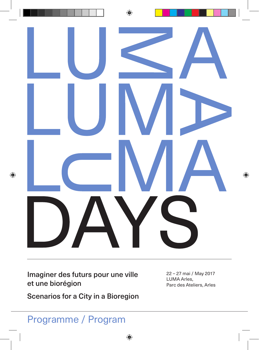

Imaginer des futurs pour une ville et une biorégion

Scenarios for a City in a Bioregion

22 – 27 mai / May 2017 LUMA Arles, Parc des Ateliers, Arles

### Programme / Program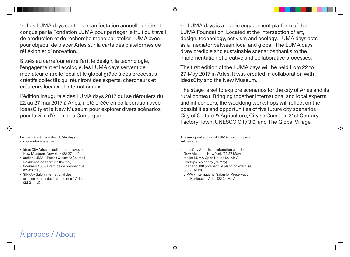[FR] Les LUMA days sont une manifestation annuelle créée et conçue par la Fondation LUMA pour partager le fruit du travail de production et de recherche mené par atelier LUMA avec pour objectif de placer Arles sur la carte des plateformes de réfléxion et d'innovation.

Situés au carrefour entre l'art, le design, la technologie, l'engagement et l'écologie, les LUMA days servent de médiateur entre le local et le global grâce à des processus créatifs collectifs qui réuniront des experts, chercheurs et créateurs locaux et internationaux.

L'édition inaugurale des LUMA days 2017 qui se déroulera du 22 au 27 mai 2017 à Arles, a été créée en collaboration avec IdeasCity et le New Museum pour explorer divers scénarios pour la ville d'Arles et la Camargue.

◈

La première édition des LUMA days comprendra également :

- IdeasCity Arles en collaboration avec le New Museum, New York (22-27 mai)
- atelier LUMA Portes Ouvertes (27 mai)
- Résidence de Startups (24 mai)
- Scénario 100 Exercice de prospective (25-26 mai)
- SIPPA Salon international des professionnels des patrimoines à Arles (22-24 mai)

[EN] LUMA days is a public engagement platform of the LUMA Foundation. Located at the intersection of art, design, technology, activism and ecology, LUMA days acts as a mediator between local and global. The LUMA days draw credible and sustainable scenarios thanks to the implementation of creative and collaborative processes.

The first edition of the LUMA days will be held from 22 to 27 May 2017 in Arles. It was created in collaboration with IdeasCity and the New Museum.

The stage is set to explore scenarios for the city of Arles and its rural context. Bringing together international and local experts and influencers, the weeklong workshops will reflect on the possibilities and opportunities of five future city scenarios - City of Culture & Agriculture, City as Campus, 21st Century Factory Town, UNESCO City 3.0, and The Global Village.

◈

The inaugural edition of LUMA days program will feature:

- IdeasCity Arles in collaboration with the New Museum, New York (22-27 May)
- atelier LUMA Open House (27 May)
- Startups residency (24 May)

⊕

 $\circledast$ 

- Scenario 100 prospective planning exercise (25-26 May)
- SIPPA International Salon for Preservation and Heritage in Arles (22-24 May)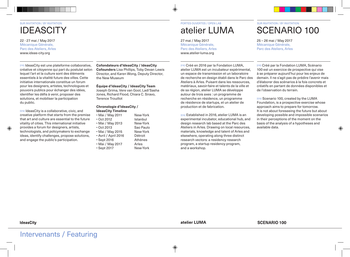# **IDEASCITY**

22 - 27 mai / May 2017 Mécanique Générale, Parc des Ateliers, Arles www.ideas-city.org

[FR] IdeasCity est une plateforme collaborative, créative et citoyenne qui part du postulat selon lequel l'art et la culture sont des éléments essentiels à la vitalité future des villes. Cette initiative internationale constitue un forum pour les designers, artistes, technologues et pouvoirs publics pour échanger des idées, identifier les défis à venir, proposer des solutions, et mobiliser la participation du public.

[EN] IdeasCity is a collaborative, civic, and creative platform that starts from the premise that art and culture are essential to the future vitality of cities. This international initiative provides a forum for designers, artists, technologists, and policymakers to exchange ideas, identify challenges, propose solutions, and engage the public's participation.

**Cofondateurs d'IdeasCity / IdeasCity** 

**Cofounders** Lisa Phillips, Toby Devan Lewis Director, and Karen Wong, Deputy Director, the New Museum

#### **Équipe d'IdeasCity / IdeasCity Team**

Joseph Grima, Vere van Gool, Ladi'Sasha Jones, Richard Flood, Chiara C. Siravo, Terence Trouillot

#### **Chronologie d'IdeasCity / IdeasCity Timeline**

| • Mai / May 2011     | New-York  |
|----------------------|-----------|
| $\cdot$ Oct 2012     | Istanbul  |
| • Mai / May 2013     | New-York  |
| $\cdot$ Oct 2013     | Sao Paulo |
| • Mai / May 2015     | New-York  |
| · Avril / April 2016 | Détroit   |
| $\cdot$ Sept 2016    | Athènes   |
| • Mai / May 2017     | Arles     |
| $\cdot$ Sept 2017    | New-York  |
|                      |           |

# atelier LUMA

27 mai / May 2017 Mécanique Générale, Parc des Ateliers, Arles www.atelier-luma.org

 $\bigcirc$ 

[FR] Créé en 2016 par la Fondation LUMA, atelier LUMA est un incubateur expérimental, un espace de transmission et un laboratoire de recherche en design établi dans le Parc des Ateliers à Arles. Puisant dans les ressources, matériaux, savoir-faire et talents de la ville et de sa région, atelier LUMA se développe autour de trois axes : un programme de recherche en résidence, un programme de résidence de startups, et un atelier de production et de fabrication.

[EN] Established in 2016, atelier LUMA is an experimental incubator, educational hub, and design research lab based at the Parc des Ateliers in Arles. Drawing on local resources, materials, knowledge and talent of Arles and elsewhere, operating along three distinct research vectors: a residency research program, a startup residency program, and a workshop.

### SCENARIO 100 SUR INVITATION / BY INVITATION PORTES OUVERTES / OPEN LAB SUR INVITATION / BY INVITATION

25 – 26 mai / May 2017 Mécanique Générale, Parc des Ateliers, Arles

[FR] Créé par la Fondation LUMA, Scénario 100 est un exercice de prospective qui vise à se préparer aujourd'hui pour les enjeux de demain. Il ne s'agit pas de prédire l'avenir mais d'élaborer des scénarios à la fois concrets et créatifs en partant de données disponibles et de l'observation du terrain.

[EN] Scenario 100, created by the LUMA Foundation, is a prospective exercise whose approach aims to prepare for tomorrow. It is not about foreseeing the future but about developing possible and impossible scenarios in their perceptions of the moment on the basis of the analysis of a hypotheses and available data.

◈

atelier LUMA

**SCENARIO 100** 

Intervenants / Featuring

⊕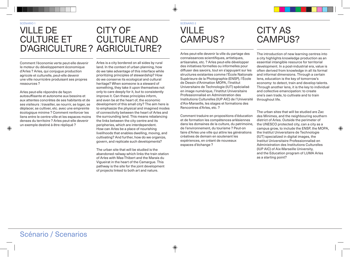#### SCÉNARIO 1 SCÉNARIO 2 VILLE DE CULTURE ET D'AGRICULTURE ? AGRICULTURE? CITY OF CULTURE AND

Comment l'économie verte peut-elle devenir le moteur du développement économique d'Arles ? Arles, qui conjugue production agricole et culturelle, peut-elle devenir une ville nourricière produisant ses propres ressources ?

Arles peut-elle répondre de façon autosuffisante et autonome aux besoins et aux attentes concrètes de ses habitants et de ses visiteurs : travailler, se nourrir, se loger, se déplacer, se cultiver, etc. avec une empreinte écologique minime ? Comment renforcer les liens entre le centre-ville et les espaces moins denses du territoire ? Arles peut-elle devenir un exemple destiné à être répliqué ?

Arles is a city bordered on all sides by rural land. In the context of urban planning, how do we take advantage of this interface while prioritizing principles of stewardship? How do we conserve its ecological and cultural heritage? When someone is a steward of something, they take it upon themselves not only to care deeply for it, but to consistently improve it. Can these principles inform, and even be at the heart of, the economic development of this small city? The aim here is to emphasize the physical and imagined modes of connectivity between the heart of Arles and the surrounding land. This means rebalancing the links between the city centre and its peripheries, which are interdependent. How can Arles be a place of nourishing livelihoods that enables dwelling, moving, and cultivating? And further, how do we organize, govern, and replicate such developments?

The urban site that will be studied is the abandoned railway which links the train station of Arles with Mas-Thibert and the Marais du Vigueirat in the heart of the Camargue. This pathway is the site for the joint development of projects linked to both art and nature.

## VILLE CAMPUS ?

 $\bigcirc$ 

⊕

Arles peut-elle devenir la ville du partage des connaissances scientifiques, artistiques, artisanales, etc. ? Arles peut-elle développer des initiatives formelles ou informelles pour diffuser des savoirs, tout en s'appuyant sur les structures existantes comme l'École Nationale Supérieure de la Photographie (ENSP), l'École de Dessin d'Animation MOPA, l'Institut Universitaire de Technologie (IUT) spécialisé en image numérique, l'Institut Universitaire Professionnalisé en Administration des Institutions Culturelles (IUP AIC) de l'Université d'Aix-Marseille, les stages et formations des Rencontres d'Arles, etc. ?

Comment traduire en propositions d'éducation et de formation les compétences arlésiennes dans les domaines de la culture, du patrimoine, de l'environnement, du tourisme ? Peut-on faire d'Arles une ville qui attire les générations créatives de demain en soutenant les expériences, en créant de nouveaux espaces d'échange ?

## CITY AS CAMPUS?

The introduction of new learning centres into a city highlights knowledge production as an essential intangible resource for territorial development. In a post-industrial era, value is often derived from knowledge in all its formal and informal dimensions. Through a certain lens, education is the key of tomorrow's economy: to detect, train and develop talents. Through another lens, it is the key to individual and collective emancipation: to create one's own trade, to cultivate and to train throughout life.

The urban sites that will be studied are Zac des Minimes, and the neighbouring southern district of Arles. Outside the perimeter of the UNESCO protected city, can a city as a campus grow, to include the ENSP, the MOPA, the Institut Universitaire de Technologie (IUT) specialized in digital images, the Institut Universitaire Professionnalisé en Administration des Institutions Culturelles (IUP AIC) of Aix-Marseille University, and the Education program of LUMA Arles as a starting point?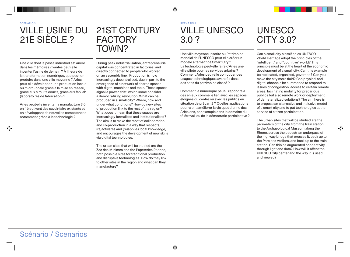◈

## VILLE USINE DU 21E SIÈCLE ?

### 21ST CENTURY **FACTORY** TOWN?

Une ville dont le passé industriel est ancré dans les mémoires vivantes peut-elle inventer l'usine de demain ? À l'heure de la transformation numérique, que peut-on produire dans une ville moyenne ? Arles peut-elle développer une production locale ou micro-locale grâce à la mise en réseau, grâce aux circuits courts, grâce aux fab lab (laboratoires de fabrication) ?

Arles peut-elle inventer la manufacture 3.0 en (ré)activant des savoir-faire existants et en développant de nouvelles compétences notamment grâce à la technologie ?

During peak industrialisation, entrepreneurial capital was concentrated in factories, and directly connected to people who worked on an assembly line. Production is now increasingly decentralised, due in part to the emergence of a network of shared spaces with digital machines and tools. These spaces signal a power shift, which some consider a democratizing revolution. What can be produced in a small city? Where, how and under what conditions? How do new sites of production link to the rest of the region? What does it mean that these spaces are increasingly formalized and institutionalized? The aim is to make the most of collaboration and co-production in a way that respects, (re)activates and (re)applies local knowledge, and encourages the development of new skills via digital technologies.

The urban sites that will be studied are the Zac des Minimes and the Papeteries Etienne, both possible sites for traditional production and disruptive technologies. How do they link to other sites in the region and what can they manufacture?

 $\bigoplus$ 

⊕

## VILLE UNESCO 3.0 ?

Une ville moyenne inscrite au Patrimoine mondial de l'UNESCO peut-elle créer un modèle alternatif de Smart City ? La technologie peut-elle faire d'Arles une ville pilote pour les services urbains ? Comment Arles peut-elle conjuguer des usages technologiques avancés dans des sites du patrimoine classé ?

Comment le numérique peut-il répondre à des enjeux comme le lien avec les espaces éloignés du centre ou avec les publics en situation de précarité ? Quelles applications pourraient améliorer la vie quotidienne des Arlésiens, par exemple dans le domaine du télétravail ou de la démocratie participative ?

## UNESCO CITY 3.0?

Can a small city classified as UNESCO World Heritage adopt the principles of the "intelligent" and "cognitive" world? This principle must be at the heart of the economic development of a small city. Can this example be replicated, organized, governed? Can you make the city more fluid? Can physical and digital channels be summoned to respond to issues of congestion, access to certain remote areas, facilitating mobility for precarious publics but also remote work or deployment of dematerialized solutions? The aim here is to propose an alternative and inclusive model of a smart city and to put technologies at the service of citizen participation.

The urban sites that will be studied are the perimeters of the city, from the train station to the Archaeological Museum along the Rhone, across the pedestrian underpass of the highway bridge that crosses it, back up to the Parc des Ateliers, and back up to the train station. Can this be augmented connectivity through light and data? How will it affect the UNESCO City center and the way it is used and viewed?

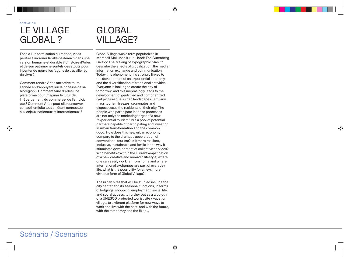◈

## LE VILLAGE GLOBAL ?

Face à l'uniformisation du monde, Arles peut-elle incarner la ville de demain dans une version humaine et durable ? L'histoire d'Arles et de son patrimoine sont-ils des atouts pour inventer de nouvelles façons de travailler et de vivre ?

Comment rendre Arles attractive toute l'année en s'appuyant sur la richesse de sa biorégion ? Comment faire d'Arles une plateforme pour imaginer le futur de l'hébergement, du commerce, de l'emploi, etc.? Comment Arles peut-elle conserver son authenticité tout en étant connectée aux enjeux nationaux et internationaux ?

## GLOBAL VILLAGE?

Global Village was a term popularized in Marshall McLuhan's 1962 book The Gutenberg Galaxy: The Making of Typographic Man, to describe the effects of globalization, the media, information exchange and communication. Today this phenomenon is strongly linked to the development of an experiential economy and the diversification of traditional activities. Everyone is looking to create the city of tomorrow, and this increasingly leads to the development of gentrified and homogenized (yet picturesque) urban landscapes. Similarly, mass tourism freezes, segregates and dispossesses the residents of their city. The people who participate in these processes are not only the marketing target of a new "experiential tourism", but a pool of potential partners capable of participating and investing in urban transformation and the common good. How does this new urban economy compare to the dramatic acceleration of conventional tourism? Is it more resilient, inclusive, sustainable and fertile in the way it stimulates development of collective services? Who benefits? Within the current amplification of a new creative and nomadic lifestyle, where one can easily work far from home and where international exchanges are part of everyday life, what is the possibility for a new, more virtuous form of Global Village?

 $\bigoplus$ 

⊕

The urban sites that will be studied include the city center and its seasonal functions, in terms of lodgings, shopping, employment, social life and social access, to further out as a typology of a UNESCO protected tourist site / vacation village, to a vibrant platform for new ways to work and live with the past, and with the future, with the temporary and the fixed...

### Scénario / Scenarios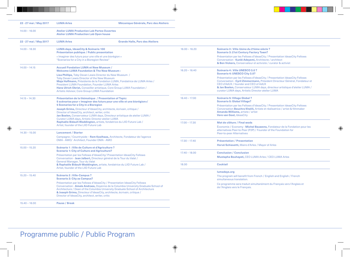| 22 - 27 mai / May 2017 | <b>LUMA Arles</b>                                                                                                                                                                                                                                                                                                                                                                                                                                                                                                                                                                                                                                                                                                          | Mécanique Générale, Parc des Ateliers  |                                                                        |                                                                                                                                                                                                                                                                                                                                     |                           |
|------------------------|----------------------------------------------------------------------------------------------------------------------------------------------------------------------------------------------------------------------------------------------------------------------------------------------------------------------------------------------------------------------------------------------------------------------------------------------------------------------------------------------------------------------------------------------------------------------------------------------------------------------------------------------------------------------------------------------------------------------------|----------------------------------------|------------------------------------------------------------------------|-------------------------------------------------------------------------------------------------------------------------------------------------------------------------------------------------------------------------------------------------------------------------------------------------------------------------------------|---------------------------|
| $14.00 - 16.00$        | <b>Atelier LUMA Production Lab Portes Ouvertes</b><br><b>Atelier LUMA Production Lab Open house</b>                                                                                                                                                                                                                                                                                                                                                                                                                                                                                                                                                                                                                        |                                        |                                                                        |                                                                                                                                                                                                                                                                                                                                     |                           |
| 22 - 27 mai / May 2017 | <b>LUMA Arles</b>                                                                                                                                                                                                                                                                                                                                                                                                                                                                                                                                                                                                                                                                                                          | <b>Grande Halle, Parc des Ateliers</b> |                                                                        |                                                                                                                                                                                                                                                                                                                                     |                           |
| $14.00 - 18.30$        | LUMA days, IdeasCity & Scénario 100<br>Présentation publique / Public presentation<br>« Imaginer des futurs pour une ville et une biorégion »<br>"Scenarios for a City in a Bioregion Review"                                                                                                                                                                                                                                                                                                                                                                                                                                                                                                                              |                                        | $16.00 - 16.20$                                                        | Scénario 3 : Ville-Usine du 21ème siècle ?<br><b>Scenario 3: 21st Century Factory Town?</b>                                                                                                                                                                                                                                         |                           |
|                        |                                                                                                                                                                                                                                                                                                                                                                                                                                                                                                                                                                                                                                                                                                                            |                                        |                                                                        | Présentation par les Fellows d'IdeasCity / Presentation IdeasCity Fellows<br>Conversation - Kunlé Adeyemi, Architecte / architect<br>& Ben Vickers, Conservateur et activiste / curator & activist                                                                                                                                  |                           |
| $14.00 - 14.15$        | <b>Accueil Fondation LUMA et New Museum /</b><br><b>Welcome LUMA Foundation &amp; The New Museum:</b><br>Lisa Phillips, Toby Devan Lewis Director du New Museum /<br><b>Toby Devan Lewis Director of the New Museum</b><br>Maja Hoffmann, Présidente de la Fondation LUMA, Fondatrice de LUMA Arles /<br><b>President LUMA Foundation, Founder LUMA Arles</b><br>Hans Ulrich Obrist, Conseiller artistique, Core Group LUMA Foundation /<br><b>Artistic Advisor, Core Group LUMA Foundation</b>                                                                                                                                                                                                                            |                                        | $16.20 - 16.40$                                                        | Scénario 4 : Ville UNESCO 3.0?<br>Scenario 4: UNESCO City 3.0?                                                                                                                                                                                                                                                                      |                           |
|                        |                                                                                                                                                                                                                                                                                                                                                                                                                                                                                                                                                                                                                                                                                                                            |                                        |                                                                        | Présentation par les Fellows d'IdeasCity / Presentation IdeasCity Fellows<br>Conversation - Cyril Zimmermann, Président Directeur Général, Fondateur et<br>CEO d'AdUX / founder and CEO of AdUX<br>& Jan Boelen, Conservateur LUMA days, directeur artistique d'atelier LUMA /<br>curator LUMA days, Artistic Director atelier LUMA |                           |
| $14.15 - 14.30$        | Présentation de la thématique / Presentation of Topic:<br>5 scénarios pour « Imaginer des futurs pour une ville et une biorégion»/<br><b>5 Scenarios for a City in a Bioregion</b><br>Joseph Grima, Directeur d'IdeasCity, architecte, écrivain, critique /<br>Director of IdeasCity, architect, writer, critic<br>Jan Boelen, Conservateur LUMA days, Directeur artistique de atelier LUMA /<br>Curator LUMA days, Artistic Director atelier LUMA<br>Raphaële Bidault-Waddington, artiste, fondatrice du LIID Future Lab /<br>Artist, founder of the LIID Future Lab<br><b>Lancement / Starter</b><br>Campagne / Countryside - Rem Koolhaas, Architecte, Fondateur de l'agence<br>OMA - AMO/ Architect, Founder OMA - AMO |                                        | $16.40 - 17.00$                                                        | Scénario 5: Village Global?<br><b>Scenario 5: Global Village?</b>                                                                                                                                                                                                                                                                   |                           |
|                        |                                                                                                                                                                                                                                                                                                                                                                                                                                                                                                                                                                                                                                                                                                                            |                                        |                                                                        | Présentation par les Fellows d'IdeasCity / Presentation IdeasCity Fellows<br>Conversation Bouchra Khalili, Artiste et réalisatrice / artist & filmmaker<br>Amanda Williams, artiste / artist<br>Vere van Gool, IdeasCity                                                                                                            |                           |
|                        |                                                                                                                                                                                                                                                                                                                                                                                                                                                                                                                                                                                                                                                                                                                            |                                        | $17.00 - 17.30$                                                        | Mot de clôture / Final wods<br>Économie / Economy - Michel Bauwens, Fondateur de la Fondation pour les                                                                                                                                                                                                                              |                           |
| $14.30 - 15.00$        |                                                                                                                                                                                                                                                                                                                                                                                                                                                                                                                                                                                                                                                                                                                            |                                        |                                                                        | alternatives Peer-to-Peer (P2P) / Founder of the Foundation for<br><b>Peer-to-peer Alternatives</b>                                                                                                                                                                                                                                 | $\langle \bullet \rangle$ |
|                        |                                                                                                                                                                                                                                                                                                                                                                                                                                                                                                                                                                                                                                                                                                                            |                                        | $17.30 - 17.40$                                                        | <b>Présentation / Presentation</b>                                                                                                                                                                                                                                                                                                  |                           |
| $15.00 - 15.20$        | Scénario 1 : Ville de Culture et d'Agriculture ?<br><b>Scenario 1: City of Culture and Agriculture?</b><br>Présentation par les Fellows d'IdeasCity/ Presentation IdeasCity Fellows                                                                                                                                                                                                                                                                                                                                                                                                                                                                                                                                        |                                        |                                                                        | Hervé Schiavetti, Maire d'Arles / Mayor of Arles                                                                                                                                                                                                                                                                                    |                           |
|                        |                                                                                                                                                                                                                                                                                                                                                                                                                                                                                                                                                                                                                                                                                                                            |                                        | $17.40 - 18.00$                                                        | <b>Conclusion / Conclusion</b>                                                                                                                                                                                                                                                                                                      |                           |
|                        | Conversation - Jean Jalbert, Directeur général de la Tour du Valat /<br>General Manager, Tour du Valat                                                                                                                                                                                                                                                                                                                                                                                                                                                                                                                                                                                                                     | 18.00                                  | Mustapha Bouhayati, CEO LUMA Arles / CEO LUMA Arles<br><b>Cocktail</b> |                                                                                                                                                                                                                                                                                                                                     |                           |
|                        | & Raphaële Bidault-Waddington, artiste, fondatrice du LIID Future Lab /<br>Artist, founder of the LIID Future Lab                                                                                                                                                                                                                                                                                                                                                                                                                                                                                                                                                                                                          |                                        |                                                                        |                                                                                                                                                                                                                                                                                                                                     |                           |
| $15.20 - 15.40$        | Scénario 2 : Ville-Campus ?<br><b>Scenario 2: City as Campus?</b><br>Présentation par les Fellows d'IdeasCity / Presentation IdeasCity Fellows<br>Conversation - Amale Andraos, Doyenne de la Columbia University Graduate School of<br>Architecture / Dean of the Columbia University Graduate School of Architecture<br>& Joseph Grima, Directeur d'IdeasCity, architecte, écrivain, critique /<br>Director of IdeasCity, architect, writer, critic                                                                                                                                                                                                                                                                      |                                        |                                                                        | lumadays.org<br>The program will benefit from French / English and English / French<br>simultaneous translation.                                                                                                                                                                                                                    |                           |
|                        |                                                                                                                                                                                                                                                                                                                                                                                                                                                                                                                                                                                                                                                                                                                            |                                        |                                                                        | Ce programme sera traduit simultanément du Français vers l'Anglais et<br>de l'Anglais vers le Français.                                                                                                                                                                                                                             |                           |
| $15.40 - 16.00$        | <b>Pause / Break</b>                                                                                                                                                                                                                                                                                                                                                                                                                                                                                                                                                                                                                                                                                                       |                                        |                                                                        |                                                                                                                                                                                                                                                                                                                                     |                           |

 $\bigoplus$ 

## Programme public / Public Program

 $\bigcirc$ 

 $\circledast$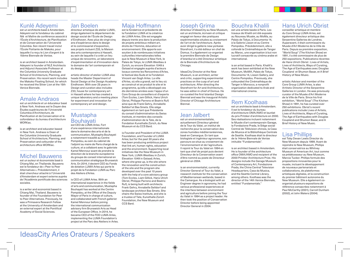### Kunlé Adeyemi

est un architecte basé à Amsterdam. Adeyemi est le fondateur du cabinet Nlé et Maître de conférence associé à l'École d'Architecture, de Planification et de Conservation de l'Université Columbia. Son récent travail inclut l'École Flottante de Makoko, pour laquelle il a reçu le Lion d'argent à la 15ème Biennale de Venise.

is an architect based in Amsterdam. Adeyemi is founder of NLÉ Architects and Adjunct Associate Professor at the Columbia University Graduate School of Architecture, Planning, and Preservation. His recent work includes the Makoko Floating School, for which he received the Silver Lion at the 15th Venice Biennale.

### Amale Andraos

est un architecte et un éducateur basé à New York. Andraos est le Doyen des Études supérieures de l'Université Columbia d'Architecture, de Planification et de Conservation et le cofondateur du bureau d'architecture WORKac.

is an architect and educator based in New York. Andraos is Dean of the Columbia University Graduate School of Architecture, Planning, and Preservation and cofounder of the architecture office WORKac.

◈

### Michel Bauwens

est un auteur et économiste basé à Chiang Mai, en Thaïlande. Bauwens est le fondateur de « Peer to Peer Alternatives ». Précédemment, il était chercheur attaché à l'Université d'Amsterdam et expert externe auprès de l'Académie pontificale des sciences sociales.

is a writer and economist based in Chiang Mai, Thailand. Bauwens is founder of the Foundation for Peer to Peer Alternatives. Previously, he was a Primavera Research Fellow at the University of Amsterdam and an external expert at the Pontifical Academy of Social Sciences.

#### Jan Boelen

directeur artistique de atelier LUMA, dirige également le département de design social de l'École de Design d'Eindhoven. Avec plus de vingt-cinq ans d'expérience dans le design et le commissariat d'exposition, ses projets incluent Z33, la Maison des arts contemporains à Hasselt, au sein de laquelle il a créé un lieu unique de rencontre, un laboratoire d'expérimentation et d'innovation dans le domaine de l'art contemporain et du design.

artistic director of atelier LUMA also heads the Master Department of Social Design at the Design Academy Eindhoven. With over 25 years in Design and curation also includes Z33, house for contemporary art in Hasselt where he has created a unique laboratory and a meeting place for experiment and innovation for contemporary art and design.

### Mustapha **Bouhavati**

est CEO de LUMA Arles. Fort d'une expérience internationale dans le domaine des arts et de la communication, Mustapha Bouhayati a notamment travaillé au Centre Pompidou, au sein du cabinet de l'adjoint au maire de Paris chargé de la culture, et a collaboré avec le galeriste Kamel Mennour avant de prendre la direction de la branche européenne du groupe de conseil international en communication stratégique Brunswick Arts. En 2014, il devient CEO du Fonds de dotation LUMA Arles qui porte le projet de la Fondation LUMA au Parc des Ateliers d'Arles.

is CEO of LUMA Arles. With an international experience in the fields of arts and communication, Mustapha Bouhayati has worked at the Centre Pompidou, at the Office of the Deputy Mayor of Paris in charge of culture, and collaborated with French gallerist Kamel Mennour before joining the international communication advisory firm Brunswick Arts as Head of the European Office. In 2014, he became CEO of the FDD LUMA Arles, implementing the LUMA Foundation's project at the Parc des Ateliers in Arles.

### Maja Hoffmann

est la fondatrice et présidente de la Fondation LUMA et la créatrice de LUMA Arles. Elle est engagée depuis trente ans dans la production de projets ambitieux mêlant art, droits de l'Homme, éducation et environnement. Elle apporte son soutien à de nombreuses initiatives culturelles internationales telles que le New Museum à New-York, le Palais de Tokyo, le LUMA Westbau à Zurich, ou encore Elevation 1049 à Gstaad et engagée auprès d'acteurs locaux comme les Rencontres d'Arles, le festival des Suds et la Fondation Vincent van Gogh Arles. La ville d'Arles, où elle a grandi, est le lieu où se construit et se produit le site et le programme, qu'elle a développé ces dix dernières années avec l'appui d'un Core Group de conseillers et d'experts (Tom Eccles, Liam Gillick, Hans Ulrich Obrist, Philippe Parreno et Beatrix Ruf) ainsi que de Frank Gehry, Annabelle Selldorf et Bas Smets. Elle siège également en tant que Présidente du conseil d'administration du Swiss Institute, et membre des conseils d'administration de la Tate, de la Fondation Kunsthalle Zürich, du New Museum et du CCS Bard.

is Founder and President of the LUMA Foundation, and Founder of LUMA Arles; but for the past 30 years she has been producing ambitious project that link art, human rights, education and the environment. Supporting local initiatives like the New Museum in New York, LUMA Westbau in Zurich, Elevation 1049 in Gstaad; Arles, where she grew up, is the site where the renovation and the construction of the site and the program she developed over the past 10 years with the help of a core advisory group (Tom Eccles, Liam Gillick, Hans Ulrich Obrist, Philippe Parreno and Beatrix Ruf), is being built with architects Frank Gehry, Annabelle Selldorf and landscape architect Bas Smets. She chairs the Swiss Institute, and she is a trustee of Tate, Kunsthalle Zürich Foundation, the New Museum and CCS Bard.

### Joseph Grima

 $\circledast$ 

directeur d'IdeasCity au New Museum, est un architecte, écrivain et critique engagé en faveur des pratiques expérimentales situées au croisement de l'art et de l'architecture. Après avoir dirigé la gallerie new-yorkaise Storefront, il a été éditeur en chef de Domus. Il a également co-organisé la première Biennale de Design d'Istanbul et a été Directeur artistique de la Biennale d'Architecture de Chicago.

IdeasCity Director at the New Museum, is an architect, writer and critic, supporting experimental practices on the cusp of art and architecture. After directing the Storefront for Art and Architecture, he was editor-in-chief of Domus. He co-curated the first Istanbul Design Biennial and was the inaugural Artistic Director of Chicago Architecture Biennal.

### Jean Jalbert

est un environnementaliste, actuellement Directeur général de la Tour du Valat, un institut de recherche pour la conservation des zones humides méditerranéennes, basé en Camargue. En tant que biologiste et ingénieur agronome, son parcours se situe au croisement de l'environnement et de l'agriculture. Il rejoint la Tour du Valat en 1994 en tant que chef de projet puis devient Directeur de la Conservation avant d'être nommé au poste de Directeur général en 2004.

is an environmentalist, currently Director General of Tour du Valat, a research institute for the conservation of Mediterranean wetlands, based in the Camargue. As a biologist with an Engineer degree in agronomy, he had various professional experiences at the interface between environment and agriculture before joining the Tour du Valat in 1994 as a project leader. He then took the position of Conservation Director before being appointed Director General in 2004.

### Bouchra Khalili

est une artiste basée à Paris. Les travaux de Khalili ont été exposés au Nouveau Musée, au MoMa, au Palais de Tokyo, à Documenta 14, à la Galerie Lisson et au Centre Pompidou. Précédemment, elle a cofondé la Cinémathèque de Tanger au Maroc, une organisation à but non lucratif consacrée au cinéma arabe et international.

is an artist based in Paris. Khalili's work has been exhibited at the New Museum, MoMA, Palais de Tokyo, Documenta 14, Lisson Gallery, and Centre Pompidou. Previously, she cofounded the Cinémathèque de Tanger in Morocco, a nonprofit organization dedicated to Arab and international cinema.

### Rem Koolhaas

est un architecte basé à Amsterdam. Il est le fondateur du bureau d'architecture OMA/AMO et lauréat du prix Pritzker d'architecture en 2000. Ses réalisations incluent notamment le Musée d'art contemporain Garage, la Fondazione Prada, le Siège social Central de Télévision chinois, la Casa da Musica et la Bibliothèque Centrale de Seattle. Koolhaas était le directeur de la 14ème Biennale de Venise intitulée "Fundamentals".

is an architect based in Amsterdam. He is founder of the architecture office OMA/AMO and recipient of the 2000 Pritzker Architecture Prize. His designs include the Garage Museum of Contemporary Art, Fondazione Prada, the China Central Television Headquarters, Casa da Musica, and the Seattle Central Library, among others. Koolhaas was the director of the 14th Venice Biennale, entitled "Fundamentals."

### Hans Ulrich Obrist

conseiller artistique et membre du Core Group LUMA Arles, est également directeur artistique des Serpentine Galleries de Londres. Auparavant, il était commissaire du Musée d'Art Moderne de la Ville de Paris. Depuis sa première exposition, "World Soup" (The Kitchen Show) en 1991, il a été commissaire de plus de 250 expositions. Publications récentes de Hans Ulrich Obrist : Lives of Artists, Lives of Architects, Ways of Curating, The Age of Earthquakes avec Douglas Coupland et Shumon Basar, et A Brief History of New Music.

artistic Advisor and member of the Core Group LUMA Arles, is also Artitstic Director of the Serpentine Galleries in London. He was previously curator of the Musée d'Art Moderne de la Ville de Paris. Since his first exhibition, "World Soup" (The Kitchen Show) in 1991, he has curated over 250 exhibitions. Obrist's recent publications include Lives of Artists, Lives of Architects, Ways of Curating, The Age of Earthquakes with Douglas Coupland and Shumon Basar, and A Brief History of New Music.

◈

### Lisa Phillips

est Toby Devan Lewis Director du New Museum depuis 1999. Avant de rejoindre le New Museum, Phillips était conservatrice au Whitney Museum of American Art, tout comme sa prédécesseur au New Museum, Marcia Tucker. Phillips formule des propositions innovantes pour le musée, incluant le développement de nouveaux partenariats et collaborations, de plateformes artistiques digitales, et la construction du premier bâtiment autonome du New Museum. Elle a également coorganisé plusieurs expositions de référence consacrées notamment à Paul McCarthy (2001), Carroll Dunham (2002), et John Waters (2004).

IdeasCity Arles Orateurs / Speakers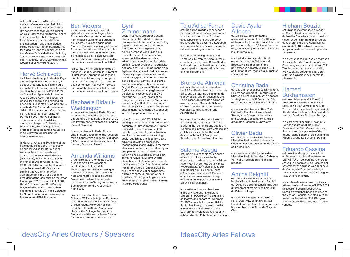is Toby Devan Lewis Director of the New Museum since 1999. Prior to joining the New Museum, Phillips, like her predecessor Marcia Tucker, was a curator at the Whitney Museum of American Art. Phillips begins to formulate an expanded vision for the institution—one that includes collaborative partnerships, platforms for digital art, and the construction of the Museum's first dedicated building. She also co-curates major surveys of Paul McCarthy (2001), Carroll Dunham (2002), and John Waters (2004).

### Hervé Schiavetti

est Maire d'Arles et président du Pays d'Arles depuis 2001. Auparavant, il a occupé les fonctions d'agent puis d'attaché territorial au Conseil Général des Bouches-du-Rhône (1983-1989), de Conseiller régional de Provence-Alpes-Côtes-d'Azur (1992-1998), de Conseiller général des Bouches-du-Rhône pour le canton Arles-Camargue à partir de 1997, avant de prendre en 1998 la Présidence de la Commission de l'Aménagement du Territoire. De 1995 à 2001, Hervé Schiavetti a été premier adjoint au Maire d'Arles en charge de l'urbanisme. Depuis 2007, il est Délégué de la protection des ressources naturelles et de la prévention des risques environnementaux.

◈

is Mayor of Arles and President of the Pays d'Arles since 2001. Previously, he has served as territorial agent and attaché at the Department Council of the Bouches-du-Rhône (1983-1989), as Regional Councillor of Provence-Alpes-Côtes-d'Azur (1992-1998), Departmental Councillor of the Bouches-du-Rhône for the administrative district of Arles-Camargue from 1997, and became President of the Commission for Urban Planning in 1998. From 1995 to 2001, Hervé Schiavetti was First Deputy Mayor of Arles in charge of Urban Planning. Since 2007, he his Delegate for Natural Resources Protection and Environmental Risk Prevention.

### Ben Vickers

est un conservateur, écrivain et spécialiste des technologies, basé à Londres. Conservateur des arts numériques aux Galeries Serpentine de Londres, Vickers a également fondé unMonastery, une organisation à but non lucratif spécialisée dans les domaines de la culture numérique et de l'économie. Par le passé, il a été conservateur au Transmediale Festival for media arts and technology à Berlin.

is a curator, writer, and technologist based in London. Vickers is Curator of Digital at the Serpentine Gallery and founder of unMonastery, a non-profit institution focusing on digital culture and economics. Previously, he was a curator at the Transmediale Festival for media arts and technology in Berlin.

### Raphaële Bidault-**Waddington**

est une artiste basée à Paris. Elle est la fondatrice du studio de recherche Laboratoire d'Ingénierie d'Idées (LIID). Ses travaux ont été exposés à Londres, Paris et New-York.

is an artist based in Paris. Bidaut-Waddington is founder of the research studio Laboratoire d'Ingénierie d'Idées (LIID). Her work has been exhibited in London, Paris, and New York.

### Amanda Williams

est une artiste et architecte basée à Chicago. Williams enseigne l'architecture à l'Institut de Technologie de l'Illinois en tant que professeur associé. Ses travaux ont notamment été exposés au Studio Museum d'Harlem, à la Biennale d'architecture de Chicago et au Yerba Buena Center for the Arts de San Francisco.

is an artist and architect based in Chicago. Williams is Adjunct Professor of Architecture at the Illinois Institute of Technology. Her work has been exhibited at the Studio Museum in Harlem, the Chicago Architecture Biennial, and the Yerba Buena Center for the Arts, among other venues.

### **Cyril** Zimmermann

est le Président Directeur Général, Fondateur et CEO d'AdUX, groupe pionnier dans le secteur du marketing digital en Europe, coté à l'Euronext Paris. AdUX emploie pas moins de 250 personnes en Europe, aux États-Unis et en Amérique latine, et se spécialise dans le native advertising, la publication éditoriale sur les réseaux sociaux et la publicité géolocalisée. Cyril Zimmermann siège également au conseil d'administration d'autres groupes dans le secteur du numérique, qu'il a lui-même fondés ou dans lesquels il a investi ces quinze dernières années (Citybird, Believe Digital, Demotivateur.fr, Shellac, etc.). Cyril est également engagé auprès de plusieurs associations et ONG telle que ACSEL.org (association française de promotion de l'économie numérique), et Bibliothèques Sans Frontières (ONG soutenant l'accès aux savoirs dans les régions défavorisées via des équipements numériques).

is the founder and CEO of AdUX, the leading independent digital advertising company in Europe listed on Euronext Paris. AdUX employs around 250 people in Europe, US, Latin America and focuses on native advertising, social publishing and location based advertising with its proprietary technological stack. Cyril Zimmermann also seats on the board of other digital companies he has founded or in which he has invested over the past 15 years (Citybird, Believe Digital, Demotivateur.fr, Shellac, etc.). Besides his business focus, Cyril is involved in non for profit organizations: ACSEL. org (French association to promote digital economy), Libraries without Borders (NGO supporting access to knowledge through digital equipment in the poorest areas).

#### Teju Adisa-Farrar est une écrivain et designer basée à

 $\circledast$ 

Barcelone. Elle termine actuellement une formation en Urban Studies et collabore en tant que directrice créative auprès de World Unwrapped, une organisation spécialisée dans les thématiques du global urbanism.

is a writer and designer based in Barcelona. Currently, Adisa-Farrar is completing a degree in Urban Studies and works as creative director of World Unwrapped, an organization focused on global urbanism.

#### Bruno de Almeida est un architecte et conservateur

basé à Sao Paulo. Il est le fondateur de SITU, une plateforme de commande d'oeuvres d'art pour l'espace public. Par le passé, de Almeida a collaboré avec la Harvard Graduate School of Design et avec l'institution newyorkaise Storefront for Art and Architecture.

is an architect and curator based in São Paulo. He is founder of SITU, a platform that commissions public art. De Almeida's previous projects include collaborations with the Harvard Graduate School of Design and Storefront for Art and Architecture.

### Salome Asega

est une artiste et chercheuse basée à Brooklyn. Elle est assistante directrice du collectif d'art numérique POWRPLNT et co-hôte du talk show Hyperopia: 20/30 Vision, diffusé sur la radio Bel-Air. Elle a par ailleurs été artiste en résidence à Eyebeam et au Laundromat Project. Asega a récemment exposé à la onzième Biennale de Shanghai.

is an artist and researcher based in Brooklyn. Asega is Assistant Director of POWRPLNT, a digital art collective, and cohost of Hyperopia: 20/30 Vision, a talk show on Bel-Air Radio. Previously, she was an artist in residence at Eyebeam and the Laundromat Project. Asega recently exhibited at the 11th Shanghai Biennial.

⊕

### David Ayala-Alfonso

est un artiste, conservateur, et organisateur culturel basé à Chicago et Bogota. Il est membre du collectif de performeurs Grupo 0,29. et éditeur de em\_rgencia, un journal spécialisé dans la culture visuelle.

is an artist, curator, and cultural organizer based in Chicago and Bogota. He is a member of the performance collective Grupo 0,29. and Editor of em\_rgencia, a journal for visual culture.

### Christina Badal

est une chercheuse basée à New-York. Elle est actuellement Directrice de la Stratégie au sein du cabinet de conseil stratégique et créatif Consortia. Elle est diplômée de l'Université Columbia.

is a researcher based in New York. Currently, Badal works as a Lead Strategist at Consortia, a creative and strategic consultancy. She is a graduate of Columbia University.

### Olivier Bedu

est un architecte et artiste basé à Marseille. Bedu est le fondateur de Cabanon Vertical, un cabinet de design et d'exposition.

is an architect and artist based in Marseille. Bedu is founder of Cabanon Vertical, an exhibition and design practice.

### Amina Belghiti

est une entrepreneuse culturelle basée à Paris. Actuellement, Belghiti est Directrice des Partenariats au sein d'Instagram et membre de l'Art Club du Palais de Tokyo.

is a cultural entrepreneur based in Paris. Currently, Belghiti works as Head of Partnerships at Instagram and is a member of the Palais de Tokyo Art Club.

### Hicham Bouzid

est un conservateur basé à Tanger au Maroc. Il est directeur artistique de l'Atelier Casariera, un espace d'art visuel, et de Think Tangier, un studio de recherche urbain. Auparavant, il a cofondé le 18, derb el ferrane, un programme de recherche implanté à Marrakech.

is a curator based in Tangier, Morocco. Bouzid is Artistic Director of Atelier Casariera, a visual art space, and Think Tangier, an urban research studio. Previously, he cofounded 18, derb el ferrane, a residency program in Marrakech.

#### Hamed Bukhamseen

est un architecte basé à Koweït. Il a été co-conservateur du Pavillon koweïtien de la 15ème Biennale de Venise. Bukhamseen est diplômé de la Rhode Island School of Design et de la Harvard Graduate School of Design.

is an architect based in Kuwait City. He was cocurator of the Kuwaiti Pavilion at the 15th Venice Biennale. Bukhamseen is a graduate of the Rhode Island School of Design and the Harvard Graduate School of Design.

◈

### Eduardo Cassina

est un urban designer basé à Kiev et Athènes. Il est le cofondateur de METASITU, un collectif de recherche artistique. Les travaux de Cassina ont notamment été exposés à la Biennale de Venise, à la Kunsthalle Wien, à Izolyatsia, tranzit.hu, au CCA Glasgow, et au Strelka Institute.

is an urban designer based in Kiev and Athens. He is cofounder of METASITU, a research-based art collective. Cassina's work has been exhibited at the Venice Biennale, Kunsthalle Wien, Izolyatsia, tranzit.hu, CCA Glasgow, and the Strelka Institute, among other venues.

IdeasCity Arles Orateurs / Speakers

### IdeasCity Arles Fellows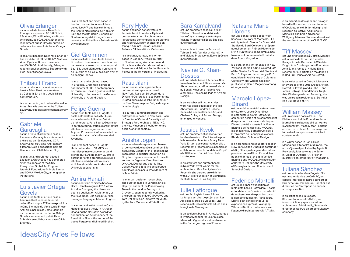### Olivia Erlanger est une artiste basée à New-York.

Erlanger a exposé au 83 Pitt St. NY, à Mathew, What Pipeline, à la Brown University, et à CANADA. Erlanger a récemment publié Hate Suburbia en collaboration avec Luis Javier Ortega Govela.

is an artist based in New York. Erlanger has exhibited at 83 Pitt St. NY, Mathew, What Pipeline, Brown University, and CANADA. Additionally, Erlanger recently published Hate Suburbia with Luis Javier Ortega Govela.

### Thibault Franc

est un écrivain, artiste et botaniste basé à Arles. Il est conservateur du Collectif E3, un lieu dédié à l'art contemporain.

is a writer, artist, and botanist based in Arles. Franc is curator at the Collectif E3, a venue dedicated to contemporary art.

### Gabriele **Garavaglia**

◈

est un artiste et architecte basé à Lausanne. Garavaglia a notamment été artiste en résidence au CCA Kitakyushu, au Global Art Program d'Istanbul, à la Fondazione Spinola Banna, et au SOMA Mexico City.

is an artist and architect based in Lausanne. Garavaglia has completed artist residencies at the CCA Kitakyushu, Global Art Program Istanbul, Fondazione Spinola Banna, and SOMA Mexico City, among other institutions.

### Luis Javier Ortega Govela

est un architecte et artiste basé à Londres. Il est le cofondateur du collectif artistique ÅYR et a exposé à la 15ème Biennale de Venise, à la Frieze Art Fair, ainsi qu'à la 9ème Biennale d'art contemporain de Berlin. Ortega Govela a récemment publié Hate Suburbia en collaboration avec Olivia **Erlanger** 

is an architect and artist based in London. He is cofounder of the art collective ÅYR and has exhibited at the 15th Venice Biennale, Frieze Art Fair, and the 9th Berlin Biennale of Contemporary Art. Ortega Govela recently published Hate Suburbia with Olivia Erlanger.

### Ciel Grommen

est une artiste et architecte basée à Bruxelles. Grommen est coordinatrice de projet au musée d'art contemporain Z33. Elle est diplômée de l'Université de Louvain et de la Haute École d'art et de design Genève.

is an artist and architect based in Brussels. Grommen is project coordinator at Z33, a contemporary art museum. She is a graduate of the University of Leuven and the Geneva University of Art and Design.

### Felipe Guerra

est un architecte basé à Bogota. Il est le cofondateur de CAMPO, un espace interdisciplinaire d'art et d'architecture. Par ailleurs, Guerra est le cofondateur du studio d'architecture altiplano et enseigne en tant que Adjunct Professor à la Universidad de Los Andes ainsi qu'à la Universidad Javeriana.

is an architect based in Bogota. He is cofounder of CAMPO, an interdisciplinary space for art and architecture. Additionally, Guerra is cofounder of the architecture studio altiplano and Adjunct Professor at Universidad de Los Andes and Universidad Javeriana.

### Amira Hanafi

est une écrivain et artiste basée au Caire. Hanafi a reçu en 2017 le Prix Artraker Changing the Narrative pour sa publication A Dictionary of the Revolution. Elle est l'auteur des ouvrages Forgery et Minced English.

is a writer and artist based in Cairo. Hanafi received the 2017 Artraker Changing the Narrative Award for her publication A Dictionary of the Revolution. She is the author of the books Forgery and Minced English.

### Rory Hyde

est un designer, conservateur et écrivain basé à Londres. Hyde est conservateur pour l'architecture et l'urbanisme contemporains au Victoria and Albert Museum et enseigne en tant qu' Adjunct Senior Research Fellow à l'Université de Melbourne.

is a designer, curator, and writer based in London. Hyde is Curator of Contemporary Architecture and Urbanism at the Victoria and Albert Museum and Adjunct Senior Research Fellow at the University of Melbourne.

#### Rasu Jilani

est un conservateur, producteur culturel et entrepreneur basé à New-York. Rasu est Directeur de la Diversité Culturelle et des Partenariats Stratégiques à NEW INC, l'incubateur du New Museum pour l'art, le design et la technologie.

is a curator, cultural producer, and entrepreneur based in New York. Rasu is Director of Cultural Diversity and Strategic Partnerships at NEW INC, the New Museum's incubator for art, design, and technology.

### Anisha Jogani

est une urban designer, chercheuse et conservatrice basée à Londres. Elle est Deputy Leader of the Placemaking Team dans le quartier londonien de Croydon. Jogani a récemment travaillé auprès de l'agence d'architecture OMA/AMO ainsi que pour la Tate Collective, une initiative développée pour les jeunes par la Tate Modern et la Tate Britain.

is an urban designer, researcher, and curator based in London. She is Deputy Leader of the Placemaking Team in the London Borough of Croydon. Jogani recently worked at the architecture office OMA/AMO and Tate Collective, an initiative for youth by the Tate Modern and Tate Britain.

### Sara Kamalvand

 $\circledast$ 

est une architecte basée à Paris et Téhéran. Elle est la fondatrice de HydroCity et enseigne en tant que Visiting Professor à l'Ecole Spéciale d'Architecture.

is an architect based in Paris and Tehran. She is founder of HydroCity and Visiting Professor at Ecole Spéciale d'Architecture.

### Navine G. Khan-Dossos

est une artiste basée à Athènes. Son travail a notamment été exposé au Van Abbemuseum, à la Friedman Gallery, au Benaki Museum of Islamic Art, ainsi qu'au Chelsea College of Art and Design.

is an artist based in Athens. Her work has been exhibited at the Van Abbemuseum, Friedman Gallery, Benaki Museum of Islamic Art, and Chelsea College of Art and Design, among other venues.

### Jessica Kwok

est une architecte et conservatrice basée à New-York. Kwok travaille pour le bureau d'architecture Family New York. En tant que conservatrice, elle a récemment présenté une exposition en collaboration avec la Fondation 501(c)3 à la Béthléhem Baptist Church de Los Angeles.

is an architect and curator based in New York. Kwok works for the architecture office Family New York. Recently, she curated an exhibition with 501(c)3 Foundation at Bethlehem Baptist Church in Los Angeles.

### Julie Lafforgue

est une écologiste basée à Arles. Lafforgue est chef de projet pour Les Amis des Marais du Vigueirat, une réserve naturelle nationale située dans la région de Camargue.

is an ecologist based in Arles. Lafforgue is Project Manager for Les Amis des Marais du Vigueirat, a national reserve in the Camargue region of France.

### Natasha Marie **Llorens**

est une conservatrice et écrivain basée à New-York et Marseille. Elle est diplôlée du Center for Curatorial Studies du Bard College, et prépare actuellement un PhD en Histoire de l'Art à l'Université de Columbia. Ses travaux ont notamment été publiés dans Bomb Magazine.

is a curator and writer based in New York and Marseille. She is a graduate of the Center for Curatorial Studies at Bard College and is currently a PhD candidate in Art History at Columbia University. Her writing has been published in Bomb Magazine among other journals.

### Marcelo López-Dinardi

est un architecte et éducateur basé à New-York. López-Dinardi est le cofondateur de A(n) Office, un cabinet de design et de commissariat d'exposition. Les travaux de López-Dinardi ont été exposés à la 15ème Biennale de Venise et au MOCAD. Il a enseigné au Barnard College, à l'Université de Pennsylavnie et à la Rhode Island School of Design.

is an architect and educator based in New York. Lopez-Dinardi is cofounder of A(n) Office, a design and curatorial practice. Lopez-Dinardi's work has been exhibited at the 15th Venice Biennale and MOCAD. He has taught at Barnard College, the University of Pennsylvania, and Rhode Island School of Design.

### Federico Martelli

est un designer d'exposition et biologiste basé à Rotterdam. Il est le cofondateur de Cookies, un collectif de recherche et d'exposition dans le domaine du design. Par ailleurs, Martelli est conseiller pour les expositions auprès du Wolfgang Tillmans Studio et collabore avec l'agence d'architecture OMA/AMO.

is an exhibition designer and biologist based in Rotterdam. He is cofounder of Cookies, an exhibition-design and research collective. Additionally, Martelli is exhibition adviser at Wolfgang Tillmans Studio and works at the architecture practice OMA/AMO.

### Tiff Massey

est une artiste basée à Detroit. Massey est lauréate de la bourse d'études Kresge Arts de Detroit en 2015 et du Knight Arts Challenge de la Fondation John S. and James L. Knight. Elle a récémment été artiste en résidence à la Red Bull House of Art de Detroit.

is an artist based in Detroit. Massey is an awardee of the 2015 Kresge Arts in Detroit Fellowship and a John S. and James L. Knight Foundation's Knight Arts Challenge winner. Recently, she was an artist in residence at Detroit's Red Bull House of Art.

### William Massey

est un écrivain basé à Paris. Il est l'éditeur en chef de Point d'Ironie, le journal des artistes publié par Agnès B. Auparavant, Massey était l'éditeur en chef de L'Officiel Art, un magazine trimestriel français consacré à l'art contemporain.

◈

is a writer based in Paris. He is Managing Editor of Point d'Ironie, the artists' journal published by Agnès B. Previously, Massey was the Editorin-Chief of L'Officiel Art, a French quarterly contemporary art magazine.

### Juliana Sánchez

est une artiste basée à Bogota. Elle est la cofondatrice de CAMPO, un espace interdisciplinaire pour l'art et l'architecture. Par ailleurs, Sanchez est directrice de l'entreprise de conseil artistique WallArt.

is an artist based in Bogota. She is cofounder of CAMPO, an interdisciplinary space for art and architecture. Additionally, Sanchez is director of WallArt, an art consultancy company.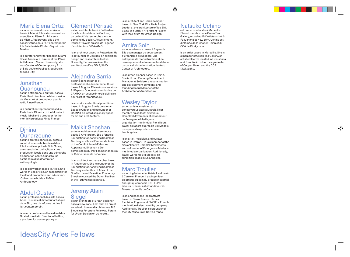

### María Elena Ortiz

est une conservatrice et écrivain basée à Miami. Elle est conservatrice associée au Pérez Art Museum de Miami. Auparavant, elle a été conservatrice pour l'art contemporain à la Sala de Arte Público Siqueiros à Mexico.

is a curator and writer based in Miami. She is Associate Curator at the Pérez Art Museum Miami, Previously, she was Curator of Contemporary Arts at Sala de Arte Público Siqueiros in Mexico City.

### Jonathan Ouanounou

est un entrepreneur culturel basé à Paris. Il est directeur du label musical de Monstart et producteur pour la radio Rinse France.

is a cultural entrepreneur based in Paris. He is Director of the Monstart music label and a producer for the monthly broadcast Rinse France.

### **D**inina **Ouharzoune**

◈

est une professionnelle du secteur social et associatif basée à Arles. Elle travaille auprès de Solid'Arles, une association qui agit pour une production locale dans une démarche d'éducation-santé. Ouharzoune est titulaire d'un doctorat en anthropologie.

is a social worker based in Arles. She works at Solid'Arles, an association for local food production and education. Ouharzoune holds a PhD in Anthropology.

### Abdel Oustad

est un professionnel des arts basé à Arles. Oustad est directeur artistique de In Situ, une plateforme dédiée à l'art contemporain.

is an arts professional based in Arles. Oustad is Artistic Director of In Situ, a platform for contemporary art.

IdeasCity Arles Fellows

### Clément Périssé

est un architecte basé à Rotterdam. Il est le cofondateur de Cookies, un collectif de recherche dans le domaine du design. Actuellement, Périssé travaille au sein de l'agence d'architecture OMA/AMO.

is an architect based in Rotterdam. He is cofounder of Cookies, an exhibition design and research collective. Currently, Périssé works at the architecture office OMA/AMO.

### Alejandra Sarria

est une conservatrice et professionnelle du secteur culturel basée à Bogota. Elle est conservatrice à l'Espacio Odeon et cofondatrice de CAMPO, un espace interdisciplinaire pour l'art et l'architecture.

is a curator and cultural practitioner based in Bogota. She is curator at Espacio Odeon and cofounder of CAMPO, an interdisciplinary space for art and architecture.

### Malkit Shoshan

est une architecte et chercheuse basée à Amsterdam. Elle a fondé la Foundation for Achieving Seamless Territory et elle est l'auteur de Atlas of the Conflict: Israel-Palestine. Auparavant, Shoshan a été commissaire du Pavillon néerlandais à la 15ème Biennale de Venise.

is an architect and researcher based in Amsterdam. She is founder of the Foundation for Achieving Seamless Territory and author of Atlas of the Conflict: Israel-Palestine. Previously, Shoshan curated the Dutch Pavilion at the 15th Venice Biennale.

### Jeremy Alain **Siegel**

est un architecte et urban designer basé à New-York. Il est chef de projet au sein du bureau d'architecture BIG. Siegel est Forefront Fellow au Forum for Urban Design en 2016-2017.

is an architect and urban designer based in New York City. He is Project Leader at the architecture office BIG. Siegel is a 2016–17 Forefront Fellow with the Forum for Urban Design.

### Amira Solh

est une urbaniste basée à Beyrouth. Elle est manager du département d'urbanisme de Solidere, une entreprise de reconstruction et de développement, et membre fondatrice du conseil d'administration du Arab Center of Architecture.

is an urban planner based in Beirut. She is Urban Planning Department Manager at Solidere, a reconstruction and development company, and founding Board Member of the Arab Center of Architecture.

### Wesley Taylor est un artiste, musicien et

conservateur basé à Detroit. Il est membre du collectif artistique Complex Movements et cofondateur de Emergence Media, une organisation multimédia. Par ailleurs, Taylor collabore auprès de Big Models, un espace d'exposition situé à Los Angeles.

is an artist, musician, and curator based in Detroit. He is a member of the arts collective Complex Movements and cofounder of Emergence Media, a multimedia organization. Additionally, Taylor works for Big Models, an exhibition space in Los Angeles.

### Marc Troulier

est un ingénieur et activiste local basé à Carro en France. Il est ingénieur électrique au sein du groupe industriel énergétique français ENGIE. Par ailleurs, Troulier est cofondateur du Musée de la ville de Carro.

is an engineer and local activist based in Carro, France. He is an Electrical Engineer at ENGIE, a French multinational electric utility company. Additionally, Troulier is cofounder of the City Museum in Carro, France.

#### Natsuko Uchino est une artiste basée à Marseille.

 $\circledast$ 

Elle est membre de la Green Tea Gallery, un collectif d'artistes situé à Fukushima et New York. Uchino est diplômée de la Cooper Union et du CCA de Kitakyushu.

is an artist based in Marseille. She is a member of Green Tea Gallery, an artist collective located in Fukushima and New York. Uchino is a graduate of Cooper Union and the CCA Kitakyushu.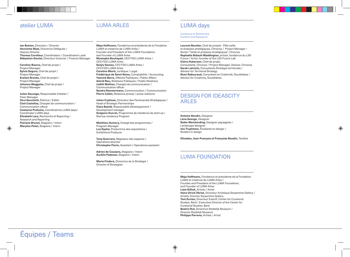### atelier LUMA NEUMA ARLES

**Jan Boelen,** Directeur / Director **Henriette Waal,** Directrice Déléguée / Deputy Director **Thomas Corolleur,** Coordinateur / Coordination Lead **Sébastien Gontal,** Directeur financier / Finance Manager

**Caroline Bianco,** Chef de projet / Project Manager **Sylvia Segura,** Chef de projet / Project Manager **Evelien Bracke,** Chef de projet / Project Manager **Johanna Weggelar,** Chef de projet / Project Manager

**Julien Sauvage,** Responsable d'atelier / Floor Manager **Vera Sacchetti,** Éditrice / Editor **Cloé Castellas,** Chargée de communication / Communication officer **Costanza Profumo,** Coordinatrice LUMA days/ Coordinator LUMA days **Elizabeth Lara,** Recherche et Reporting / Research and Reporting **Floriane Brunel,** Stagiaire / Intern **Marylou Petot,** Stagiaire / Intern

Équipes / Teams

**Maja Hoffmann,** Fondatrice et présidente de la Fondation LUMA et créatrice de LUMA Arles / Founder and President of the LUMA Foundation,

LUMA ARLES

and Founder of LUMA Arles **Mustapha Bouhayati,** CEO FDD LUMA Arles / CEO FDD LUMA Arles **Sanjiv Gomez,** CFO FDD LUMA Arles / CFO FDD LUMA Arles **Caroline Monti,** Juridique / Legal **Frédérique de Saint-Seine,** Comptabilité / Accounting **Yannick Barre,** Affaires Publiques / Public Affairs **Astrid Nou,** Relations Publiques / Public Relations **Judith Wollner,** Chargée de communication / Communication officer **Sandra Roemermann,** Communication / Communication **Pierre Collet,** Relations presse / press relations

**Julien Frydman,** Directeur des Partenariats Stratégiques / Head of Strategic Partnerships **Clara Bastid,** Responsable développement / Development manager **Grégoire Ducret,** Programme de résidence de start-up / Startup residency Program

**Matthieu Humery,** Chargé des programmes / Program Manager **Luz Gyalui,** Productrice des expositions / Exhibitions Producer

**Tony Guerrero,** Régisseur des espaces / Operations director **Christophe Florio,** Assistant / Operations assistant

**Adrien de Causans,** Stagiaire / Intern **Aurélie Padovan,** Stagiaire / Intern

**Maria Finders,** Directrice de la Stratégie / Director of Strategies

 $\bigoplus$ 

⊕

Contenus et Recherche Content and Research

**Laurent Barelier,** Chef de projets - Pôle veille et analyses stratégiques, Chronos / Project Manager – Sector "Veille et analyses stratégiques", Chronos **Raphaële Bidault-Waddington,** artiste, fondatrice du LIID Future / Artist, founder of the LIID Future Lab **Claire Huberson,** Chef de projet, Consultante, Chronos / Project Manager, Advisor, Chronos **Sarah Lahrichi,** Consultante Stratégie territoriale / Advisor for Territorial Strategy **Remi Sabouraud,** Consultant en Créativité, Goutdidees / Advisor for Creativity, Goutdidees

### DESIGN FOR IDEASCITY ARLES

**Antoine Boudin,** Designer **Léna George,** Designer **Robin Weicherding,** Designer paysagiste / Landscape designer **Isis Truphème,** Étudiante en design / Student in design

**Olivades, Jean-François et Françoise Boudin,** Textiles

◈

### LUMA FOUNDATION

**Maja Hoffmann,** Fondatrice et présidente de la Fondation LUMA et créatrice de LUMA Arles / Founder and President of the LUMA Foundation, and Founder of LUMA Arles **Liam Gillick,** Artiste / Artist **Hans Ulrich Obrist,** Directeur Artistique Serpentine Gallery / Artistic Director Serpentine Gallery **Tom Eccles,** Directeur Exectif, Center for Curatorial Studies, Bard / Executive Director of the Center for Curatorial Studies, Bard **Beatrix Ruf,** Directrice Stedelijk Museum / Director Stedelijk Museum **Philippe Parreno,** Artiste / Artist